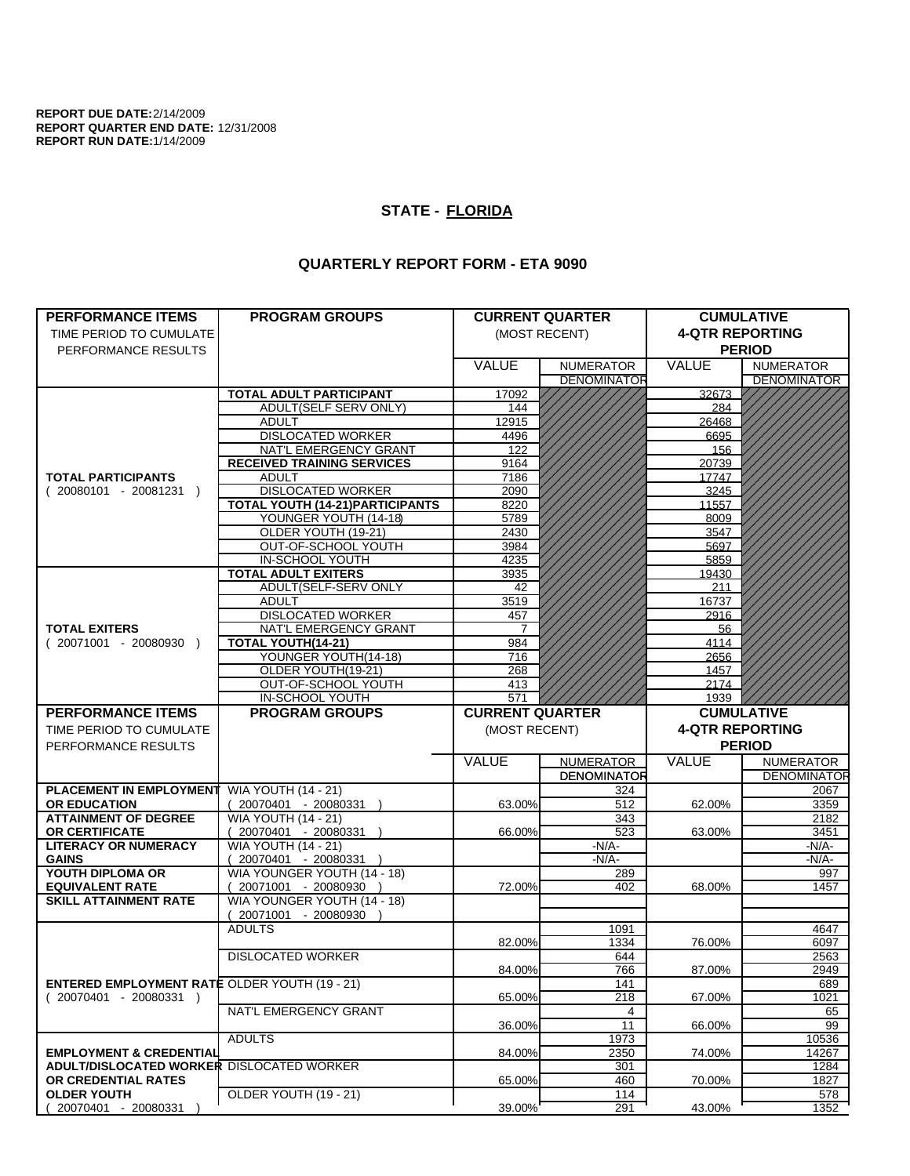**REPORT DUE DATE:**2/14/2009 **REPORT QUARTER END DATE:** 12/31/2008 **REPORT RUN DATE:**1/14/2009

## **STATE - FLORIDA**

## **QUARTERLY REPORT FORM - ETA 9090**

|                                                      | <b>PROGRAM GROUPS</b>                                |                        | <b>CURRENT QUARTER</b> | <b>CUMULATIVE</b>      |                            |  |
|------------------------------------------------------|------------------------------------------------------|------------------------|------------------------|------------------------|----------------------------|--|
| <b>PERFORMANCE ITEMS</b><br>TIME PERIOD TO CUMULATE  |                                                      | (MOST RECENT)          |                        | <b>4-QTR REPORTING</b> |                            |  |
| PERFORMANCE RESULTS                                  |                                                      |                        |                        | <b>PERIOD</b>          |                            |  |
|                                                      |                                                      | <b>VALUE</b>           | <b>NUMERATOR</b>       | <b>VALUE</b>           | <b>NUMERATOR</b>           |  |
|                                                      |                                                      |                        | <b>DENOMINATOR</b>     |                        | <b>DENOMINATOR</b>         |  |
|                                                      | <b>TOTAL ADULT PARTICIPANT</b>                       | 17092                  |                        | 32673                  |                            |  |
|                                                      | ADULT(SELF SERV ONLY)                                | 144                    |                        | 284                    |                            |  |
|                                                      | <b>ADULT</b>                                         | 12915                  |                        | 26468                  |                            |  |
|                                                      | <b>DISLOCATED WORKER</b>                             | 4496                   |                        | 6695                   |                            |  |
|                                                      | NAT'L EMERGENCY GRANT                                | 122                    |                        | 156                    |                            |  |
|                                                      | <b>RECEIVED TRAINING SERVICES</b>                    | 9164                   |                        | 20739                  |                            |  |
| <b>TOTAL PARTICIPANTS</b>                            | <b>ADULT</b>                                         | 7186                   |                        | 17747                  |                            |  |
| $(20080101 - 20081231)$                              | <b>DISLOCATED WORKER</b>                             | 2090                   |                        | 3245                   |                            |  |
|                                                      | <b>TOTAL YOUTH (14-21)PARTICIPANTS</b>               | 8220                   |                        | 11557                  |                            |  |
|                                                      | YOUNGER YOUTH (14-18)                                | 5789                   |                        | 8009                   |                            |  |
|                                                      | OLDER YOUTH (19-21)                                  | 2430                   |                        | 3547                   |                            |  |
|                                                      | OUT-OF-SCHOOL YOUTH                                  | 3984                   |                        | 5697                   |                            |  |
|                                                      | IN-SCHOOL YOUTH                                      | 4235                   |                        | 5859                   |                            |  |
|                                                      | <b>TOTAL ADULT EXITERS</b>                           | 3935                   |                        | 19430                  |                            |  |
|                                                      | ADULT(SELF-SERV ONLY                                 | 42                     |                        | 211                    |                            |  |
|                                                      | <b>ADULT</b>                                         | 3519                   |                        | 16737                  |                            |  |
|                                                      | <b>DISLOCATED WORKER</b><br>NAT'L EMERGENCY GRANT    | 457                    |                        | 2916                   |                            |  |
| <b>TOTAL EXITERS</b>                                 | TOTAL YOUTH(14-21)                                   | 7<br>984               |                        | 56                     |                            |  |
| $(20071001 - 20080930)$                              | YOUNGER YOUTH(14-18)                                 | 716                    |                        | 4114<br>2656           |                            |  |
|                                                      | OLDER YOUTH(19-21)                                   | 268                    |                        | 1457                   |                            |  |
|                                                      | OUT-OF-SCHOOL YOUTH                                  | 413                    |                        | 2174                   |                            |  |
|                                                      | IN-SCHOOL YOUTH                                      | 571                    |                        | 1939                   |                            |  |
| <b>PERFORMANCE ITEMS</b>                             | <b>PROGRAM GROUPS</b>                                | <b>CURRENT QUARTER</b> |                        |                        | <b>CUMULATIVE</b>          |  |
| TIME PERIOD TO CUMULATE                              |                                                      | (MOST RECENT)          |                        | <b>4-QTR REPORTING</b> |                            |  |
| PERFORMANCE RESULTS                                  |                                                      |                        |                        |                        | <b>PERIOD</b>              |  |
|                                                      |                                                      |                        |                        |                        |                            |  |
|                                                      |                                                      |                        |                        |                        |                            |  |
|                                                      |                                                      | VALUE                  | <b>NUMERATOR</b>       | VALUE                  | <b>NUMERATOR</b>           |  |
|                                                      |                                                      |                        | <b>DENOMINATOR</b>     |                        |                            |  |
| <b>PLACEMENT IN EMPLOYMENT</b>                       | <b>WIA YOUTH (14 - 21)</b>                           |                        | 324                    |                        | 2067                       |  |
| <b>OR EDUCATION</b>                                  | 20070401 - 20080331                                  | 63.00%                 | 512                    | 62.00%                 | 3359                       |  |
| <b>ATTAINMENT OF DEGREE</b>                          | <b>WIA YOUTH (14 - 21)</b>                           |                        | 343                    |                        | 2182                       |  |
| OR CERTIFICATE                                       | 20070401 - 20080331 )                                | 66.00%                 | 523                    | 63.00%                 | 3451                       |  |
| <b>LITERACY OR NUMERACY</b><br><b>GAINS</b>          | <b>WIA YOUTH (14 - 21)</b>                           |                        | -N/A-<br>$-N/A$ -      |                        | -N/A-                      |  |
| YOUTH DIPLOMA OR                                     | 20070401 - 20080331 )                                |                        |                        |                        | $-N/A-$                    |  |
| <b>EQUIVALENT RATE</b>                               | WIA YOUNGER YOUTH (14 - 18)<br>20071001 - 20080930 ) | 72.00%                 | 289<br>402             | 68.00%                 | 997<br>1457                |  |
| <b>SKILL ATTAINMENT RATE</b>                         | WIA YOUNGER YOUTH (14 - 18)                          |                        |                        |                        |                            |  |
|                                                      | (20071001 - 20080930                                 |                        |                        |                        |                            |  |
|                                                      | <b>ADULTS</b>                                        |                        | 1091                   |                        | <b>DENOMINATOR</b><br>4647 |  |
|                                                      |                                                      | 82.00%                 | 1334                   | 76.00%                 | 6097                       |  |
|                                                      | <b>DISLOCATED WORKER</b>                             |                        | 644                    |                        | 2563                       |  |
|                                                      |                                                      | 84.00%                 | 766                    | 87.00%                 | 2949                       |  |
| <b>ENTERED EMPLOYMENT RATE OLDER YOUTH (19 - 21)</b> |                                                      |                        | 141                    |                        | 689                        |  |
| $(20070401 - 20080331)$                              |                                                      | 65.00%                 | 218                    | 67.00%                 | 1021                       |  |
|                                                      | NAT'L EMERGENCY GRANT                                |                        | 4                      |                        | 65                         |  |
|                                                      |                                                      | 36.00%                 | 11                     | 66.00%                 | 99                         |  |
|                                                      | <b>ADULTS</b>                                        |                        | 1973                   |                        | 10536                      |  |
| <b>EMPLOYMENT &amp; CREDENTIAL</b>                   |                                                      | 84.00%                 | 2350                   | 74.00%                 | 14267                      |  |
| <b>ADULT/DISLOCATED WORKER DISLOCATED WORKER</b>     |                                                      |                        | 301                    |                        | 1284                       |  |
| OR CREDENTIAL RATES<br><b>OLDER YOUTH</b>            | OLDER YOUTH (19 - 21)                                | 65.00%                 | 460<br>114             | 70.00%                 | 1827<br>578                |  |